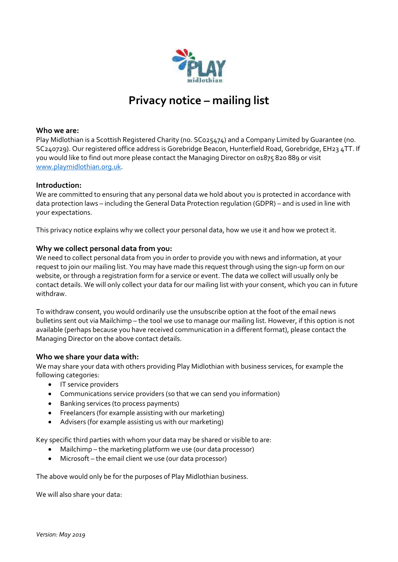

# **Privacy notice – mailing list**

# **Who we are:**

Play Midlothian is a Scottish Registered Charity (no. SC025474) and a Company Limited by Guarantee (no. SC240729). Our registered office address is Gorebridge Beacon, Hunterfield Road, Gorebridge, EH23 4TT. If you would like to find out more please contact the Managing Director on 01875 820 889 or visit [www.playmidlothian.org.uk.](http://www.playmidlothian.org.uk/)

#### **Introduction:**

We are committed to ensuring that any personal data we hold about you is protected in accordance with data protection laws – including the General Data Protection regulation (GDPR) – and is used in line with your expectations.

This privacy notice explains why we collect your personal data, how we use it and how we protect it.

## **Why we collect personal data from you:**

We need to collect personal data from you in order to provide you with news and information, at your request to join our mailing list. You may have made this request through using the sign-up form on our website, or through a registration form for a service or event. The data we collect will usually only be contact details. We will only collect your data for our mailing list with your consent, which you can in future withdraw.

To withdraw consent, you would ordinarily use the unsubscribe option at the foot of the email news bulletins sent out via Mailchimp – the tool we use to manage our mailing list. However, if this option is not available (perhaps because you have received communication in a different format), please contact the Managing Director on the above contact details.

## **Who we share your data with:**

We may share your data with others providing Play Midlothian with business services, for example the following categories:

- IT service providers
- Communications service providers (so that we can send you information)
- Banking services (to process payments)
- Freelancers (for example assisting with our marketing)
- Advisers (for example assisting us with our marketing)

Key specific third parties with whom your data may be shared or visible to are:

- Mailchimp the marketing platform we use (our data processor)
- Microsoft the email client we use (our data processor)

The above would only be for the purposes of Play Midlothian business.

We will also share your data: